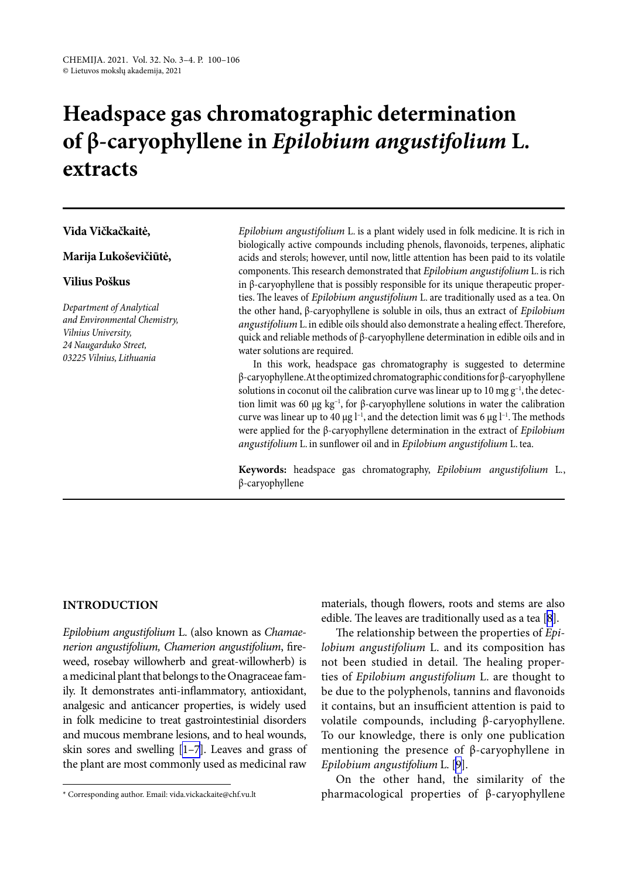# **Headspace gas chromatographic determination of β-caryophyllene in** *Epilobium angustifolium* **L***.*  **extracts**

## **Vida Vičkačkaitė,**

## **Marija Lukoševičiūtė,**

## **Vilius Poškus**

*Department of Analytical and Environmental Chemistry, Vilnius University, 24 Naugarduko Street, 03225 Vilnius, Lithuania*

*Epilobium angustifolium* L. is a plant widely used in folk medicine. It is rich in biologically active compounds including phenols, flavonoids, terpenes, aliphatic acids and sterols; however, until now, little attention has been paid to its volatile components. This research demonstrated that *Epilobium angustifolium* L. is rich in β-caryophyllene that is possibly responsible for its unique therapeutic properties. The leaves of *Epilobium angustifolium* L. are traditionally used as a tea. On the other hand, β-caryophyllene is soluble in oils, thus an extract of *Epilobium angustifolium* L. in edible oils should also demonstrate a healing effect. Therefore, quick and reliable methods of β-caryophyllene determination in edible oils and in water solutions are required.

In this work, headspace gas chromatography is suggested to determine β-caryophyllene. At the optimized chromatographic conditions for β-caryophyllene solutions in coconut oil the calibration curve was linear up to 10 mg  $g^{-1}$ , the detection limit was 60 μg kg<sup>-1</sup>, for β-caryophyllene solutions in water the calibration curve was linear up to 40  $\mu$ g l<sup>-1</sup>, and the detection limit was 6  $\mu$ g l<sup>-1</sup>. The methods were applied for the β-caryophyllene determination in the extract of *Epilobium angustifolium* L. in sunflower oil and in *Epilobium angustifolium* L. tea.

**Keywords:** headspace gas chromatography, *Epilobium angustifolium* L*.*, β-caryophyllene

#### **INTRODUCTION**

*Epilobium angustifolium* L. (also known as *Chamaenerion angustifolium, Chamerion angustifolium*, fireweed, rosebay willowherb and great-willowherb) is a medicinal plant that belongs to the Onagraceae family. It demonstrates anti-inflammatory, antioxidant, analgesic and anticancer properties, is widely used in folk medicine to treat gastrointestinial disorders and mucous membrane lesions, and to heal wounds, skin sores and swelling [\[1–7\]](#page-5-0). Leaves and grass of the plant are most commonly used as medicinal raw materials, though flowers, roots and stems are also edible. The leaves are traditionally used as a tea [[8](#page-6-0)].

The relationship between the properties of *Epilobium angustifolium* L. and its composition has not been studied in detail. The healing properties of *Epilobium angustifolium* L. are thought to be due to the polyphenols, tannins and flavonoids it contains, but an insufficient attention is paid to volatile compounds, including β-caryophyllene. To our knowledge, there is only one publication mentioning the presence of β-caryophyllene in *Epilobium angustifolium* L. [[9\]](#page-6-1).

On the other hand, the similarity of the pharmacological properties of β-caryophyllene

<sup>\*</sup> Corresponding author. Email: vida.vickackaite@chf.vu.lt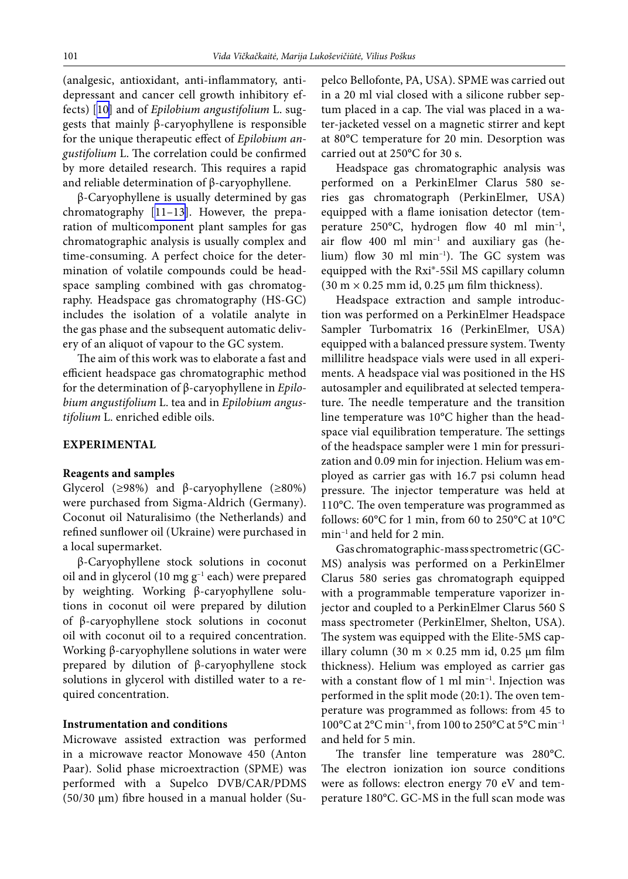(analgesic, antioxidant, anti-inflammatory, antidepressant and cancer cell growth inhibitory effects) [[10\]](#page-6-2) and of *Epilobium angustifolium* L. suggests that mainly β-caryophyllene is responsible for the unique therapeutic effect of *Epilobium angustifolium* L. The correlation could be confirmed by more detailed research. This requires a rapid and reliable determination of β-caryophyllene.

β-Caryophyllene is usually determined by gas chromatography [\[11–13\]](#page-6-3). However, the preparation of multicomponent plant samples for gas chromatographic analysis is usually complex and time-consuming. A perfect choice for the determination of volatile compounds could be headspace sampling combined with gas chromatography. Headspace gas chromatography (HS-GC) includes the isolation of a volatile analyte in the gas phase and the subsequent automatic delivery of an aliquot of vapour to the GC system.

The aim of this work was to elaborate a fast and efficient headspace gas chromatographic method for the determination of β-caryophyllene in *Epilobium angustifolium* L. tea and in *Epilobium angustifolium* L. enriched edible oils.

#### **EXPERIMENTAL**

#### **Reagents and samples**

Glycerol (≥98%) and β-caryophyllene (≥80%) were purchased from Sigma-Aldrich (Germany). Coconut oil Naturalisimo (the Netherlands) and refined sunflower oil (Ukraine) were purchased in a local supermarket.

β-Caryophyllene stock solutions in coconut oil and in glycerol (10 mg  $g^{-1}$  each) were prepared by weighting. Working β-caryophyllene solutions in coconut oil were prepared by dilution of β-caryophyllene stock solutions in coconut oil with coconut oil to a required concentration. Working β-caryophyllene solutions in water were prepared by dilution of β-caryophyllene stock solutions in glycerol with distilled water to a required concentration.

#### **Instrumentation and conditions**

Microwave assisted extraction was performed in a microwave reactor Monowave 450 (Anton Paar). Solid phase microextraction (SPME) was performed with a Supelco DVB/CAR/PDMS (50/30 µm) fibre housed in a manual holder (Supelco Bellofonte, PA, USA). SPME was carried out in a 20 ml vial closed with a silicone rubber septum placed in a cap. The vial was placed in a water-jacketed vessel on a magnetic stirrer and kept at 80°C temperature for 20 min. Desorption was carried out at 250°C for 30 s.

Headspace gas chromatographic analysis was performed on a PerkinElmer Clarus 580 series gas chromatograph (PerkinElmer, USA) equipped with a flame ionisation detector (temperature 250°C, hydrogen flow 40 ml min–1, air flow 400 ml min–1 and auxiliary gas (helium) flow 30 ml min<sup>-1</sup>). The GC system was equipped with the Rxi®-5Sil MS capillary column  $(30 \text{ m} \times 0.25 \text{ mm} \text{ id}, 0.25 \text{ \mu m} \text{ film thickness}).$ 

Headspace extraction and sample introduction was performed on a PerkinElmer Headspace Sampler Turbomatrix 16 (PerkinElmer, USA) equipped with a balanced pressure system. Twenty millilitre headspace vials were used in all experiments. A headspace vial was positioned in the HS autosampler and equilibrated at selected temperature. The needle temperature and the transition line temperature was 10°C higher than the headspace vial equilibration temperature. The settings of the headspace sampler were 1 min for pressurization and 0.09 min for injection. Helium was employed as carrier gas with 16.7 psi column head pressure. The injector temperature was held at 110°C. The oven temperature was programmed as follows:  $60^{\circ}$ C for 1 min, from 60 to 250 $^{\circ}$ C at 10 $^{\circ}$ C min–1 and held for 2 min.

Gas chromatographic-mass spectrometric (GC-MS) analysis was performed on a PerkinElmer Clarus 580 series gas chromatograph equipped with a programmable temperature vaporizer injector and coupled to a PerkinElmer Clarus 560 S mass spectrometer (PerkinElmer, Shelton, USA). The system was equipped with the Elite-5MS capillary column (30 m  $\times$  0.25 mm id, 0.25 µm film thickness). Helium was employed as carrier gas with a constant flow of 1 ml min<sup>-1</sup>. Injection was performed in the split mode (20:1). The oven temperature was programmed as follows: from 45 to 100°C at 2°C min<sup>-1</sup>, from 100 to 250°C at 5°C min<sup>-1</sup> and held for 5 min.

The transfer line temperature was 280°C. The electron ionization ion source conditions were as follows: electron energy 70 eV and temperature 180°C. GC-MS in the full scan mode was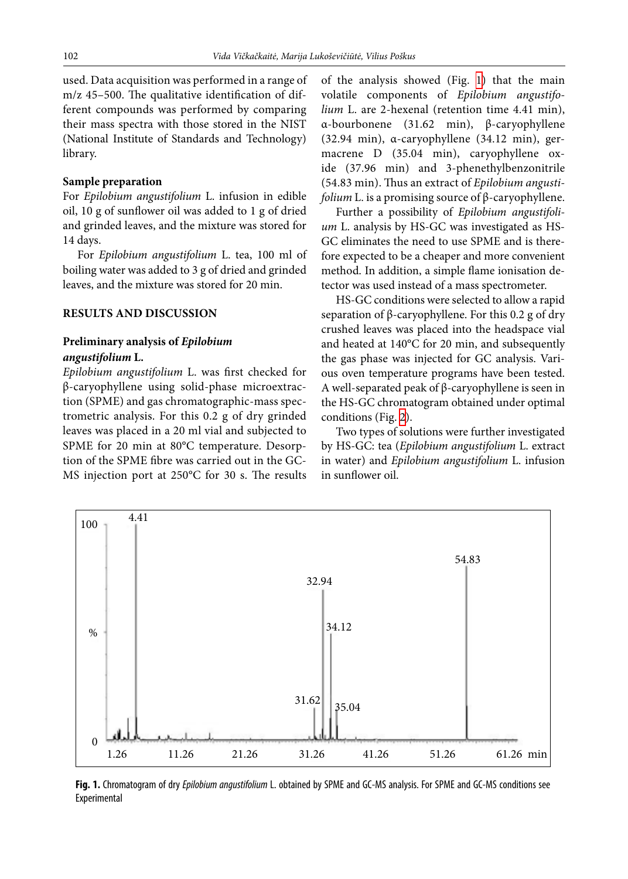used. Data acquisition was performed in a range of m/z 45–500. The qualitative identification of different compounds was performed by comparing their mass spectra with those stored in the NIST (National Institute of Standards and Technology) library.

## **Sample preparation**

For *Epilobium angustifolium* L. infusion in edible oil, 10 g of sunflower oil was added to 1 g of dried and grinded leaves, and the mixture was stored for 14 days.

For *Epilobium angustifolium* L. tea, 100 ml of boiling water was added to 3 g of dried and grinded leaves, and the mixture was stored for 20 min.

#### **RESULTS AND DISCUSSION**

## **Preliminary analysis of** *Epilobium angustifolium* **L.**

*Epilobium angustifolium* L. was first checked for β-caryophyllene using solid-phase microextraction (SPME) and gas chromatographic-mass spectrometric analysis. For this 0.2 g of dry grinded leaves was placed in a 20 ml vial and subjected to SPME for 20 min at 80°C temperature. Desorption of the SPME fibre was carried out in the GC-MS injection port at 250°C for 30 s. The results of the analysis showed (Fig.  [1\)](#page-2-0) that the main volatile components of *Epilobium angustifolium* L. are 2-hexenal (retention time 4.41 min), α-bourbonene (31.62 min), β-caryophyllene (32.94 min), α-caryophyllene (34.12 min), germacrene D (35.04 min), caryophyllene oxide (37.96 min) and 3-phenethylbenzonitrile (54.83 min). Thus an extract of *Epilobium angustifolium* L. is a promising source of β-caryophyllene.

Further a possibility of *Epilobium angustifolium* L. analysis by HS-GC was investigated as HS-GC eliminates the need to use SPME and is therefore expected to be a cheaper and more convenient method. In addition, a simple flame ionisation detector was used instead of a mass spectrometer.

HS-GC conditions were selected to allow a rapid separation of β-caryophyllene. For this 0.2 g of dry crushed leaves was placed into the headspace vial and heated at 140°C for 20 min, and subsequently the gas phase was injected for GC analysis. Various oven temperature programs have been tested. A well-separated peak of β-caryophyllene is seen in the HS-GC chromatogram obtained under optimal conditions (Fig. [2\)](#page-3-0).

<span id="page-2-0"></span>Two types of solutions were further investigated by HS-GC: tea (*Epilobium angustifolium* L. extract in water) and *Epilobium angustifolium* L. infusion in sunflower oil.



**Fig. 1.** Chromatogram of dry *Epilobium angustifolium* L. obtained by SPME and GC-MS analysis. For SPME and GC-MS conditions see Experimental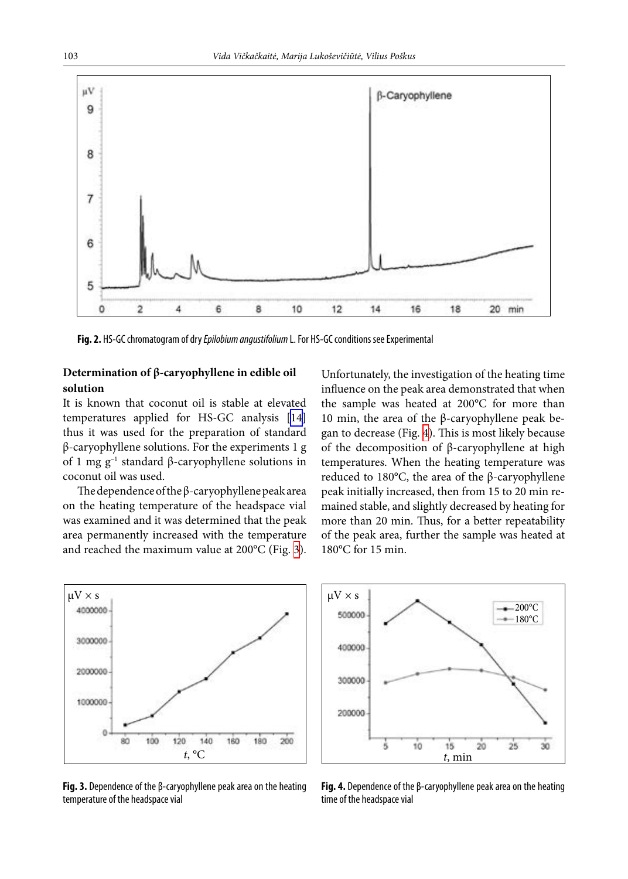<span id="page-3-0"></span>

**Fig. 2.** HS-GC chromatogram of dry *Epilobium angustifolium* L. For HS-GC conditions see Experimental

# **Determination of β-caryophyllene in edible oil solution**

It is known that coconut oil is stable at elevated temperatures applied for HS-GC analysis [[14\]](#page-6-4) thus it was used for the preparation of standard β-caryophyllene solutions. For the experiments 1 g of 1 mg  $g^{-1}$  standard β-caryophyllene solutions in coconut oil was used.

The dependence of the β-caryophyllene peak area on the heating temperature of the headspace vial was examined and it was determined that the peak area permanently increased with the temperature and reached the maximum value at 200°C (Fig. [3](#page-3-1)). Unfortunately, the investigation of the heating time influence on the peak area demonstrated that when the sample was heated at 200°C for more than 10 min, the area of the β-caryophyllene peak began to decrease (Fig. [4\)](#page-3-2). This is most likely because of the decomposition of β-caryophyllene at high temperatures. When the heating temperature was reduced to 180°C, the area of the β-caryophyllene peak initially increased, then from 15 to 20 min remained stable, and slightly decreased by heating for more than 20 min. Thus, for a better repeatability of the peak area, further the sample was heated at 180°C for 15 min.

<span id="page-3-1"></span>

**Fig. 3.** Dependence of the β-caryophyllene peak area on the heating temperature of the headspace vial

<span id="page-3-2"></span>

**Fig. 4.** Dependence of the β-caryophyllene peak area on the heating time of the headspace vial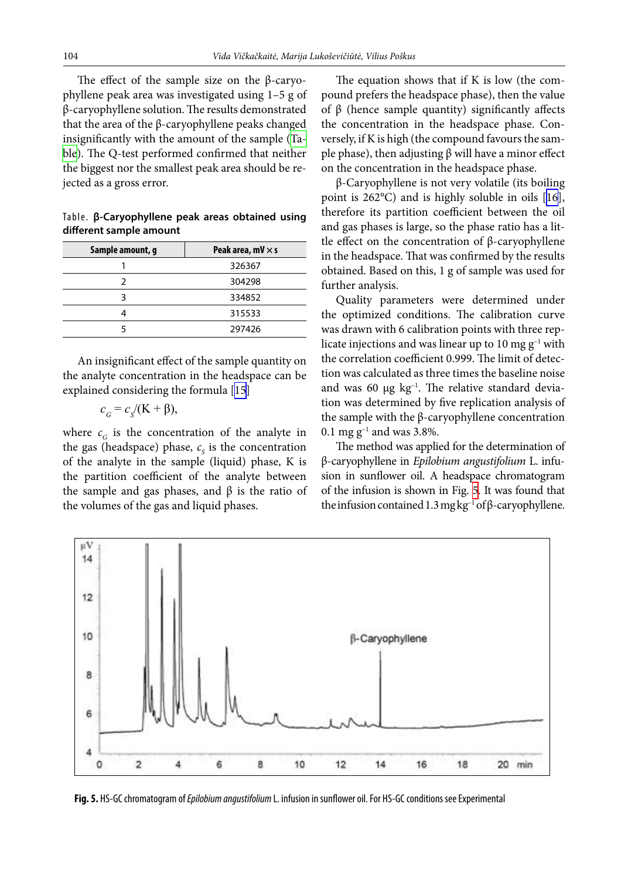The effect of the sample size on the  $\beta$ -caryophyllene peak area was investigated using 1–5 g of β-caryophyllene solution. The results demonstrated that the area of the β-caryophyllene peaks changed insignificantly with the amount of the sample ([Ta](#page-4-0)[ble\)](#page-4-0). The Q-test performed confirmed that neither the biggest nor the smallest peak area should be rejected as a gross error.

<span id="page-4-0"></span>

|  |                         |  | Table. B-Caryophyllene peak areas obtained using |  |
|--|-------------------------|--|--------------------------------------------------|--|
|  | different sample amount |  |                                                  |  |

| Sample amount, g | Peak area, $mV \times s$ |  |  |
|------------------|--------------------------|--|--|
|                  | 326367                   |  |  |
|                  | 304298                   |  |  |
|                  | 334852                   |  |  |
|                  | 315533                   |  |  |
|                  | 297426                   |  |  |

An insignificant effect of the sample quantity on the analyte concentration in the headspace can be explained considering the formula [\[15](#page-6-5)]

$$
c_G = c_S/(K + \beta),
$$

where  $c_G$  is the concentration of the analyte in the gas (headspace) phase,  $c_s$  is the concentration of the analyte in the sample (liquid) phase, K is the partition coefficient of the analyte between the sample and gas phases, and  $β$  is the ratio of the volumes of the gas and liquid phases.

The equation shows that if K is low (the compound prefers the headspace phase), then the value of β (hence sample quantity) significantly affects the concentration in the headspace phase. Conversely, if K is high (the compound favours the sample phase), then adjusting  $β$  will have a minor effect on the concentration in the headspace phase.

β-Caryophyllene is not very volatile (its boiling point is 262°C) and is highly soluble in oils [\[16](#page-6-6)], therefore its partition coefficient between the oil and gas phases is large, so the phase ratio has a little effect on the concentration of β-caryophyllene in the headspace. That was confirmed by the results obtained. Based on this, 1 g of sample was used for further analysis.

Quality parameters were determined under the optimized conditions. The calibration curve was drawn with 6 calibration points with three replicate injections and was linear up to 10 mg  $g^{-1}$  with the correlation coefficient 0.999. The limit of detection was calculated as three times the baseline noise and was 60  $\mu$ g  $kg^{-1}$ . The relative standard deviation was determined by five replication analysis of the sample with the β-caryophyllene concentration 0.1 mg  $g^{-1}$  and was 3.8%.

<span id="page-4-1"></span>The method was applied for the determination of β-caryophyllene in *Epilobium angustifolium* L. infusion in sunflower oil. A headspace chromatogram of the infusion is shown in Fig. [5](#page-4-1). It was found that the infusion contained 1.3 mg kg<sup>-1</sup> of β-caryophyllene.



**Fig. 5.** HS-GC chromatogram of *Epilobium angustifolium* L. infusion in sunflower oil. For HS-GC conditions see Experimental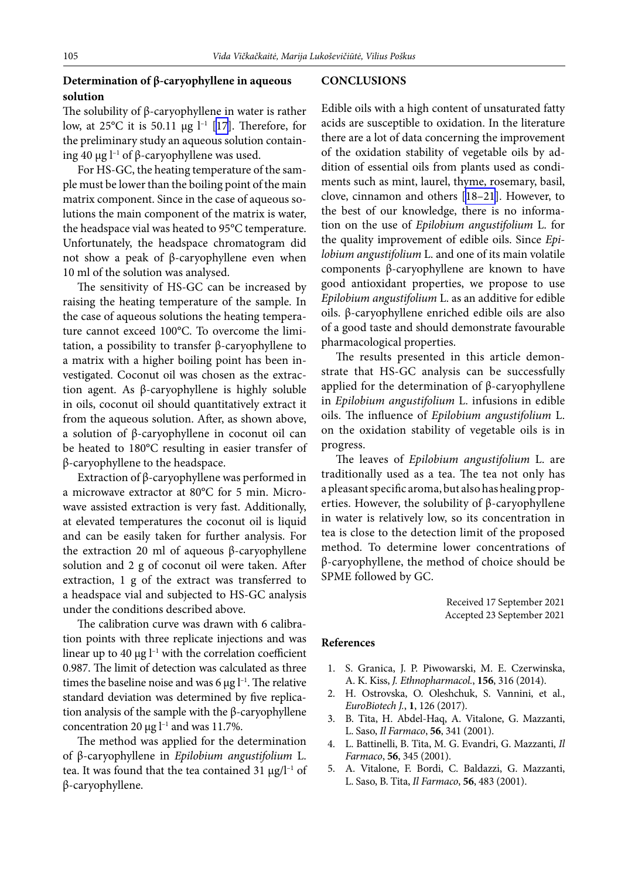# **Determination of β-caryophyllene in aqueous solution**

The solubility of  $β$ -caryophyllene in water is rather low, at  $25^{\circ}$ C it is 50.11  $\mu$ g  $l^{-1}$  [[17\]](#page-6-7). Therefore, for the preliminary study an aqueous solution containing 40 μg  $l^{-1}$  of β-caryophyllene was used.

For HS-GC, the heating temperature of the sample must be lower than the boiling point of the main matrix component. Since in the case of aqueous solutions the main component of the matrix is water, the headspace vial was heated to 95°C temperature. Unfortunately, the headspace chromatogram did not show a peak of β-caryophyllene even when 10 ml of the solution was analysed.

The sensitivity of HS-GC can be increased by raising the heating temperature of the sample. In the case of aqueous solutions the heating temperature cannot exceed 100°C. To overcome the limitation, a possibility to transfer β-caryophyllene to a matrix with a higher boiling point has been investigated. Coconut oil was chosen as the extraction agent. As β-caryophyllene is highly soluble in oils, coconut oil should quantitatively extract it from the aqueous solution. After, as shown above, a solution of β-caryophyllene in coconut oil can be heated to 180°C resulting in easier transfer of β-caryophyllene to the headspace.

Extraction of β-caryophyllene was performed in a microwave extractor at 80°C for 5 min. Microwave assisted extraction is very fast. Additionally, at elevated temperatures the coconut oil is liquid and can be easily taken for further analysis. For the extraction 20 ml of aqueous β-caryophyllene solution and 2 g of coconut oil were taken. After extraction, 1 g of the extract was transferred to a headspace vial and subjected to HS-GC analysis under the conditions described above.

The calibration curve was drawn with 6 calibration points with three replicate injections and was linear up to 40  $\mu$ g l<sup>-1</sup> with the correlation coefficient 0.987. The limit of detection was calculated as three times the baseline noise and was 6  $\mu$ g l<sup>-1</sup>. The relative standard deviation was determined by five replication analysis of the sample with the β-caryophyllene concentration 20  $\mu$ g l<sup>-1</sup> and was 11.7%.

The method was applied for the determination of β-caryophyllene in *Epilobium angustifolium* L. tea. It was found that the tea contained 31  $\mu$ g/l<sup>-1</sup> of β-caryophyllene.

#### **CONCLUSIONS**

Edible oils with a high content of unsaturated fatty acids are susceptible to oxidation. In the literature there are a lot of data concerning the improvement of the oxidation stability of vegetable oils by addition of essential oils from plants used as condiments such as mint, laurel, thyme, rosemary, basil, clove, cinnamon and others [\[18–21](#page-6-8)]. However, to the best of our knowledge, there is no information on the use of *Epilobium angustifolium* L. for the quality improvement of edible oils. Since *Epilobium angustifolium* L. and one of its main volatile components β-caryophyllene are known to have good antioxidant properties, we propose to use *Epilobium angustifolium* L. as an additive for edible oils. β-caryophyllene enriched edible oils are also of a good taste and should demonstrate favourable pharmacological properties.

The results presented in this article demonstrate that HS-GC analysis can be successfully applied for the determination of  $β$ -caryophyllene in *Epilobium angustifolium* L. infusions in edible oils. The influence of *Epilobium angustifolium* L. on the oxidation stability of vegetable oils is in progress.

The leaves of *Epilobium angustifolium* L. are traditionally used as a tea. The tea not only has a pleasant specific aroma, but also has healing properties. However, the solubility of  $\beta$ -caryophyllene in water is relatively low, so its concentration in tea is close to the detection limit of the proposed method. To determine lower concentrations of β-caryophyllene, the method of choice should be SPME followed by GC.

> Received 17 September 2021 Accepted 23 September 2021

#### <span id="page-5-0"></span>**References**

- 1. S. Granica, J. P. Piwowarski, M. E. Czerwinska, A. K. Kiss, *J. Ethnopharmacol.*, **156**, 316 (2014).
- 2. H. Ostrovska, O. Oleshchuk, S. Vannini, et al., *EuroBiotech J.*, **1**, 126 (2017).
- 3. B. Tita, H. Abdel-Haq, A. Vitalone, G. Mazzanti, L. Saso, *Il Farmaco*, **56**, 341 (2001).
- 4. L. Battinelli, B. Tita, M. G. Evandri, G. Mazzanti, *Il Farmaco*, **56**, 345 (2001).
- 5. A. Vitalone, F. Bordi, C. Baldazzi, G. Mazzanti, L. Saso, B. Tita, *Il Farmaco*, **56**, 483 (2001).